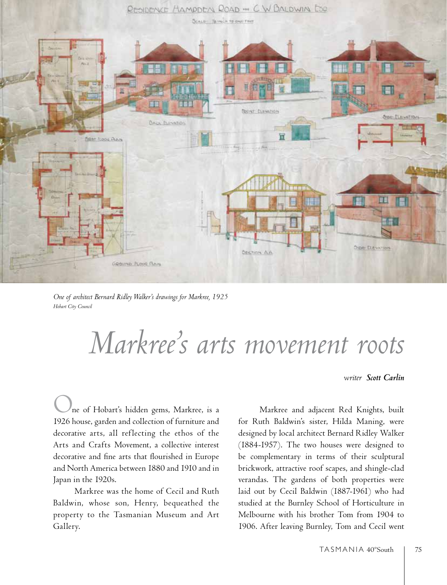

*One of architect Bernard Ridley Walker's drawings for Markree, 1925 Hobart City Council*

## *Markree's arts movement roots*

## *writer Scott Carlin*

ne of Hobart's hidden gems, Markree, is a 1926 house, garden and collection of furniture and decorative arts, all reflecting the ethos of the Arts and Crafts Movement, a collective interest decorative and fine arts that flourished in Europe and North America between 1880 and 1910 and in Japan in the 1920s.

Markree was the home of Cecil and Ruth Baldwin, whose son, Henry, bequeathed the property to the Tasmanian Museum and Art Gallery.

Markree and adjacent Red Knights, built for Ruth Baldwin's sister, Hilda Maning, were designed by local architect Bernard Ridley Walker (1884-1957). The two houses were designed to be complementary in terms of their sculptural brickwork, attractive roof scapes, and shingle-clad verandas. The gardens of both properties were laid out by Cecil Baldwin (1887-1961) who had studied at the Burnley School of Horticulture in Melbourne with his brother Tom from 1904 to 1906. After leaving Burnley, Tom and Cecil went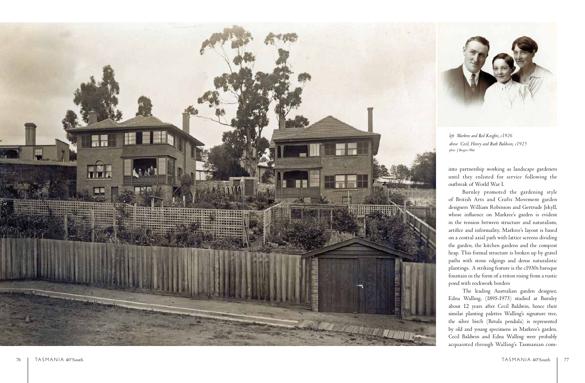

acquainted through Walling's Tasmanian com -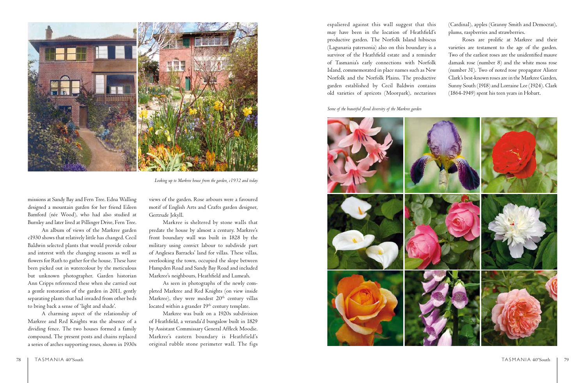espaliered against this wall suggest that this may have been in the location of Heathfield's productive garden. The Norfolk Island hibiscus (Lagunaria patersonia) also on this boundary is a survivor of the Heathfield estate and a reminder of Tasmania's early connections with Norfolk Island, commemorated in place names such as New Norfolk and the Norfolk Plains. The productive garden established by Cecil Baldwin contains old varieties of apricots (Moorpark), nectarines (Cardinal), apples (Granny Smith and Democrat), plums, raspberries and strawberries.

Roses are prolific at Markree and their varieties are testament to the age of the garden. Two of the earliest roses are the unidentified mauve damask rose (number 8) and the white moss rose (number 31). Two of noted rose propagator Alister Clark's best-known roses are in the Markree Garden, Sunny South (1918) and Lorraine Lee (1924). Clark (1864-1949) spent his teen years in Hobart.

## *Some of the beautiful floral diversity of the Markree garden*



missions at Sandy Bay and Fern Tree. Edna Walling designed a mountain garden for her friend Eileen Bamford (née Wood), who had also studied at Burnley and later lived at Pillinger Drive, Fern Tree.

> As seen in photographs of the newly completed Markree and Red Knights (on view inside Markree), they were modest  $20<sup>th</sup>$  century villas located within a grander  $19<sup>th</sup>$  century template.

An album of views of the Markree garden c1930 shows that relatively little has changed. Cecil Baldwin selected plants that would provide colour and interest with the changing seasons as well as flowers for Ruth to gather for the house. These have been picked out in watercolour by the meticulous but unknown photographer. Garden historian Ann Cripps referenced these when she carried out a gentle restoration of the garden in 2011, gently separating plants that had invaded from other beds to bring back a sense of 'light and shade'.

A charming aspect of the relationship of Markree and Red Knights was the absence of a dividing fence. The two houses formed a family compound. The present posts and chains replaced a series of arches supporting roses, shown in 1930s

views of the garden. Rose arbours were a favoured motif of English Arts and Crafts garden designer, Gertrude Jekyll.

Markree is sheltered by stone walls that predate the house by almost a century. Markree's front boundary wall was built in 1828 by the military using convict labour to subdivide part of Anglesea Barracks' land for villas. These villas, overlooking the town, occupied the slope between Hampden Road and Sandy Bay Road and included Markree's neighbours, Heathfield and Lumeah.

Markree was built on a 1920s subdivision of Heathfield, a veranda'd bungalow built in 1829 by Assistant Commissary General Affleck Moodie. Markree's eastern boundary is Heathfield's original rubble stone perimeter wall. The figs



*Looking up to Markree house from the garden, c1932 and today*